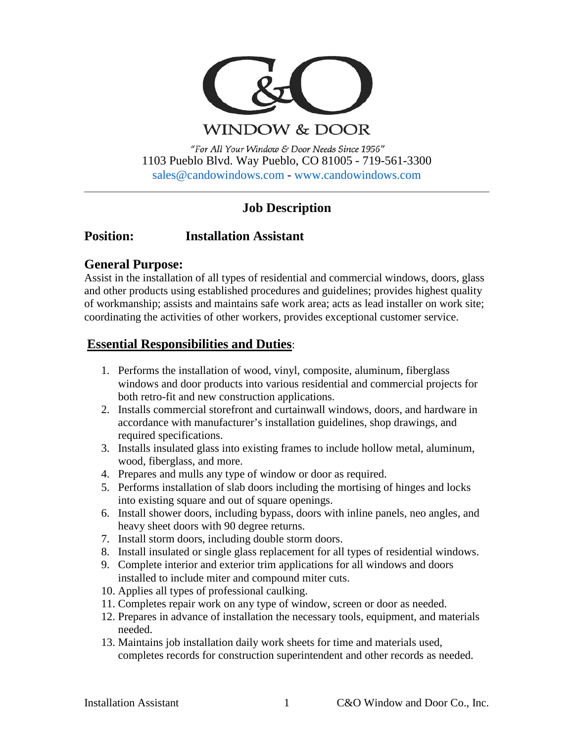

WINDOW & DOOR

"For All Your Window & Door Needs Since 1956" 1103 Pueblo Blvd. Way Pueblo, CO 81005 - 719-561-3300 [sales@candowindows.com](mailto:sales@candowindows.com) - [www.candowindows.com](http://www.candowindows.com/)

# **Job Description**

# **Position: Installation Assistant**

# **General Purpose:**

Assist in the installation of all types of residential and commercial windows, doors, glass and other products using established procedures and guidelines; provides highest quality of workmanship; assists and maintains safe work area; acts as lead installer on work site; coordinating the activities of other workers, provides exceptional customer service.

# **Essential Responsibilities and Duties**:

- 1. Performs the installation of wood, vinyl, composite, aluminum, fiberglass windows and door products into various residential and commercial projects for both retro-fit and new construction applications.
- 2. Installs commercial storefront and curtainwall windows, doors, and hardware in accordance with manufacturer's installation guidelines, shop drawings, and required specifications.
- 3. Installs insulated glass into existing frames to include hollow metal, aluminum, wood, fiberglass, and more.
- 4. Prepares and mulls any type of window or door as required.
- 5. Performs installation of slab doors including the mortising of hinges and locks into existing square and out of square openings.
- 6. Install shower doors, including bypass, doors with inline panels, neo angles, and heavy sheet doors with 90 degree returns.
- 7. Install storm doors, including double storm doors.
- 8. Install insulated or single glass replacement for all types of residential windows.
- 9. Complete interior and exterior trim applications for all windows and doors installed to include miter and compound miter cuts.
- 10. Applies all types of professional caulking.
- 11. Completes repair work on any type of window, screen or door as needed.
- 12. Prepares in advance of installation the necessary tools, equipment, and materials needed.
- 13. Maintains job installation daily work sheets for time and materials used, completes records for construction superintendent and other records as needed.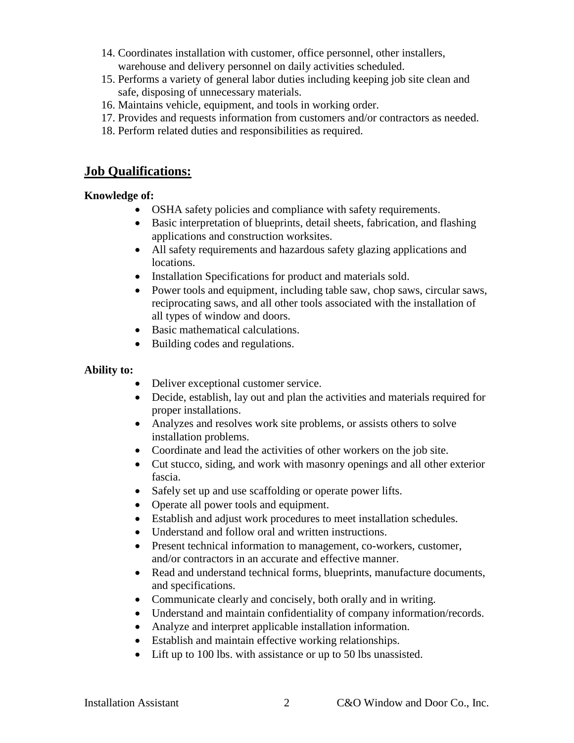- 14. Coordinates installation with customer, office personnel, other installers, warehouse and delivery personnel on daily activities scheduled.
- 15. Performs a variety of general labor duties including keeping job site clean and safe, disposing of unnecessary materials.
- 16. Maintains vehicle, equipment, and tools in working order.
- 17. Provides and requests information from customers and/or contractors as needed.
- 18. Perform related duties and responsibilities as required.

## **Job Qualifications:**

#### **Knowledge of:**

- OSHA safety policies and compliance with safety requirements.
- Basic interpretation of blueprints, detail sheets, fabrication, and flashing applications and construction worksites.
- All safety requirements and hazardous safety glazing applications and locations.
- Installation Specifications for product and materials sold.
- Power tools and equipment, including table saw, chop saws, circular saws, reciprocating saws, and all other tools associated with the installation of all types of window and doors.
- Basic mathematical calculations.
- Building codes and regulations.

#### **Ability to:**

- Deliver exceptional customer service.
- Decide, establish, lay out and plan the activities and materials required for proper installations.
- Analyzes and resolves work site problems, or assists others to solve installation problems.
- Coordinate and lead the activities of other workers on the job site.
- Cut stucco, siding, and work with masonry openings and all other exterior fascia.
- Safely set up and use scaffolding or operate power lifts.
- Operate all power tools and equipment.
- Establish and adjust work procedures to meet installation schedules.
- Understand and follow oral and written instructions.
- Present technical information to management, co-workers, customer, and/or contractors in an accurate and effective manner.
- Read and understand technical forms, blueprints, manufacture documents, and specifications.
- Communicate clearly and concisely, both orally and in writing.
- Understand and maintain confidentiality of company information/records.
- Analyze and interpret applicable installation information.
- Establish and maintain effective working relationships.
- Lift up to 100 lbs. with assistance or up to 50 lbs unassisted.